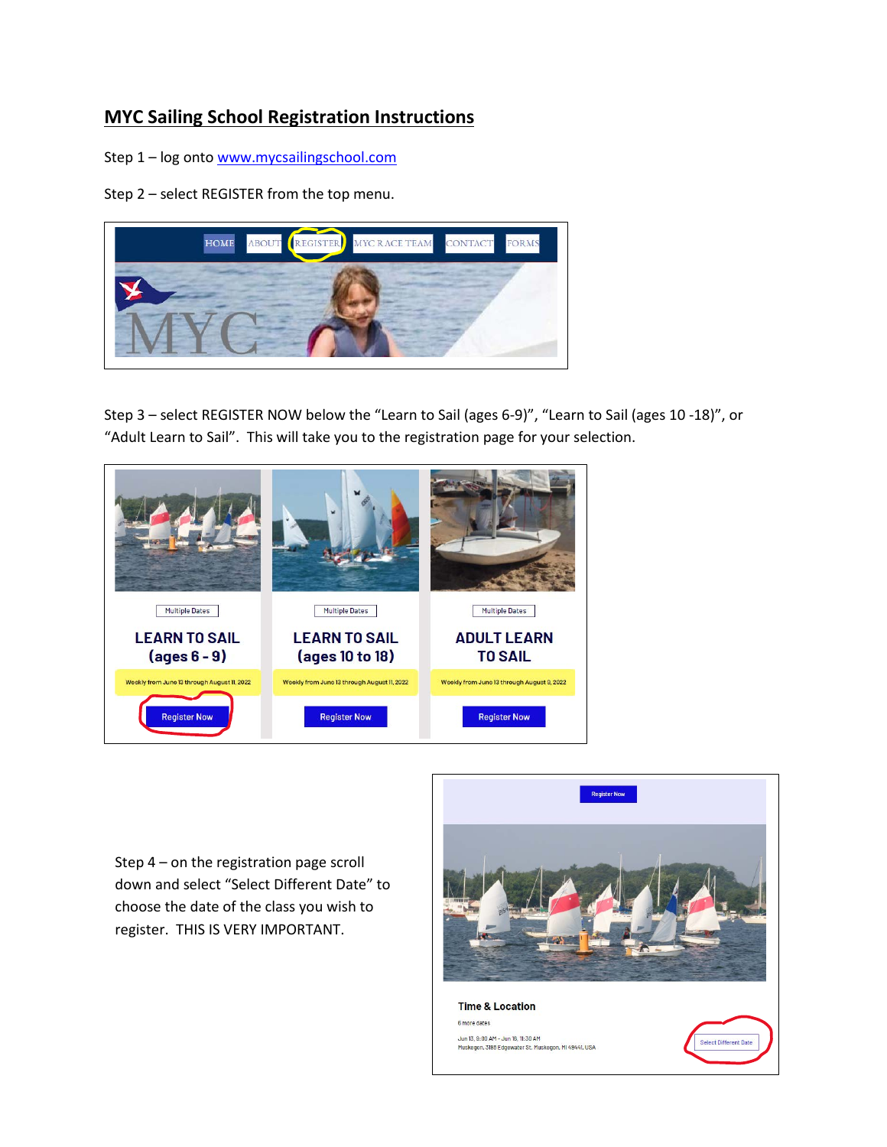## **MYC Sailing School Registration Instructions**

Step 1 – log onto [www.mycsailingschool.com](http://www.mycsailingschool.com/)

Step 2 – select REGISTER from the top menu.



Step 3 – select REGISTER NOW below the "Learn to Sail (ages 6-9)", "Learn to Sail (ages 10 -18)", or "Adult Learn to Sail". This will take you to the registration page for your selection.



Step 4 – on the registration page scroll down and select "Select Different Date" to choose the date of the class you wish to register. THIS IS VERY IMPORTANT.



6 more dates Jun 13, 9:00 AM - Jun 16, 11:30 AM Muskegon, 3198 Edgewater St, Muskegon, MI 49441, USA

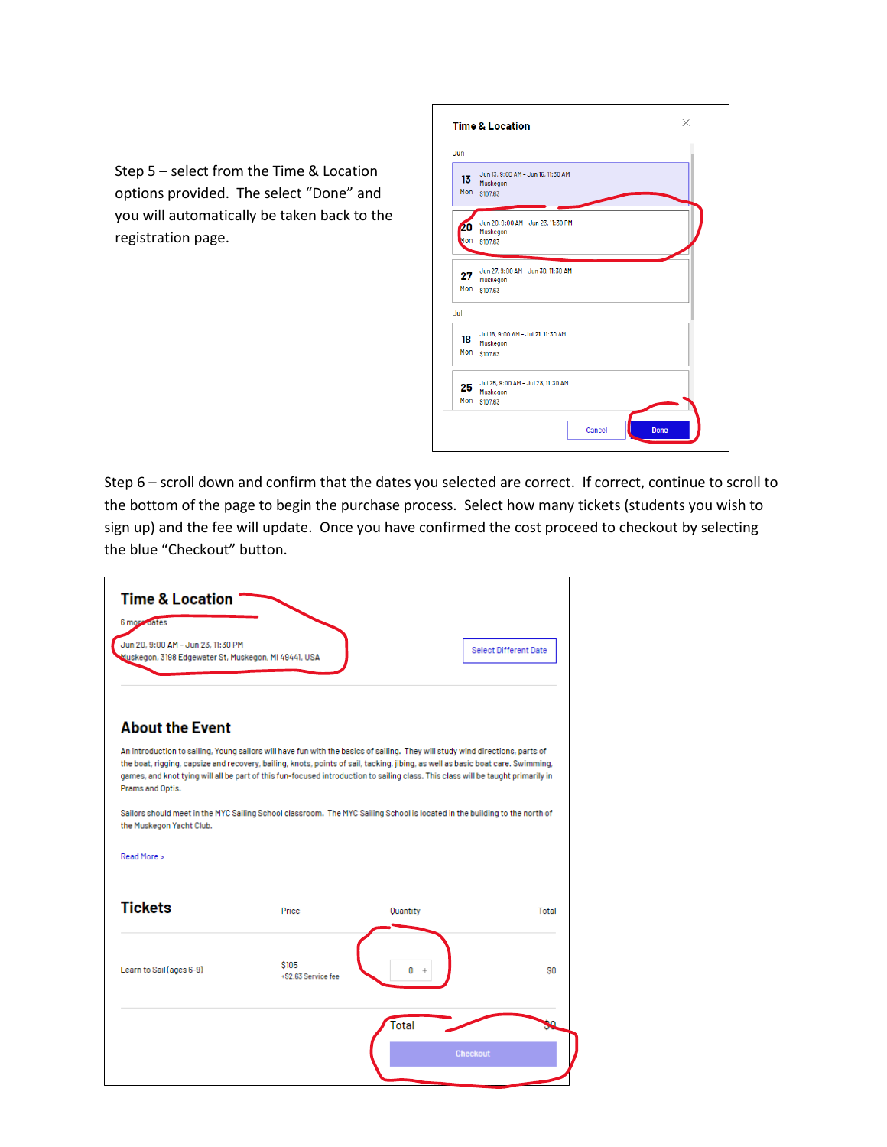Step 5 – select from the Time & Location options provided. The select "Done" and you will automatically be taken back to the registration page.

| Jun       |                                                                |             |
|-----------|----------------------------------------------------------------|-------------|
| 13        | Jun 13, 9:00 AM - Jun 16, 11:30 AM<br>Muskegon<br>Mon \$107.63 |             |
| 20<br>Mon | Jun 20, 9:00 AM - Jun 23, 11:30 PM<br>Muskegon<br>\$107.63     |             |
| 27        | Jun 27, 9:00 AM - Jun 30, 11:30 AM<br>Muskegon<br>Mon \$107.63 |             |
| Jul       |                                                                |             |
| 18        | Jul 18, 9:00 AM - Jul 21, 11:30 AM<br>Muskegon<br>Mon \$107.63 |             |
| 25        | Jul 25, 9:00 AM - Jul 28, 11:30 AM<br>Muskegon<br>Mon \$107.63 |             |
|           | Cancel                                                         | <b>Done</b> |

Step 6 – scroll down and confirm that the dates you selected are correct. If correct, continue to scroll to the bottom of the page to begin the purchase process. Select how many tickets (students you wish to sign up) and the fee will update. Once you have confirmed the cost proceed to checkout by selecting the blue "Checkout" button.

| <b>Time &amp; Location</b>                                                                                 |                              |                                                                                                                                                                                                                                                                                                                                                                                                      |                       |
|------------------------------------------------------------------------------------------------------------|------------------------------|------------------------------------------------------------------------------------------------------------------------------------------------------------------------------------------------------------------------------------------------------------------------------------------------------------------------------------------------------------------------------------------------------|-----------------------|
| 6 more dates<br>Jun 20, 9:00 AM - Jun 23, 11:30 PM<br>Muskegon, 3198 Edgewater St, Muskegon, MI 49441, USA |                              |                                                                                                                                                                                                                                                                                                                                                                                                      | Select Different Date |
| <b>About the Event</b>                                                                                     |                              |                                                                                                                                                                                                                                                                                                                                                                                                      |                       |
| Prams and Optis.                                                                                           |                              | An introduction to sailing, Young sailors will have fun with the basics of sailing. They will study wind directions, parts of<br>the boat, rigging, capsize and recovery, bailing, knots, points of sail, tacking, jibing, as well as basic boat care. Swimming,<br>games, and knot tying will all be part of this fun-focused introduction to sailing class. This class will be taught primarily in |                       |
| the Muskegon Yacht Club.                                                                                   |                              | Sailors should meet in the MYC Sailing School classroom. The MYC Sailing School is located in the building to the north of                                                                                                                                                                                                                                                                           |                       |
| Read More >                                                                                                |                              |                                                                                                                                                                                                                                                                                                                                                                                                      |                       |
| <b>Tickets</b>                                                                                             | Price                        | Quantity                                                                                                                                                                                                                                                                                                                                                                                             | Total                 |
| Learn to Sail (ages 6-9)                                                                                   | \$105<br>+\$2.63 Service fee | n                                                                                                                                                                                                                                                                                                                                                                                                    | \$O                   |
|                                                                                                            |                              | Total                                                                                                                                                                                                                                                                                                                                                                                                |                       |
|                                                                                                            |                              | <b>Checkout</b>                                                                                                                                                                                                                                                                                                                                                                                      |                       |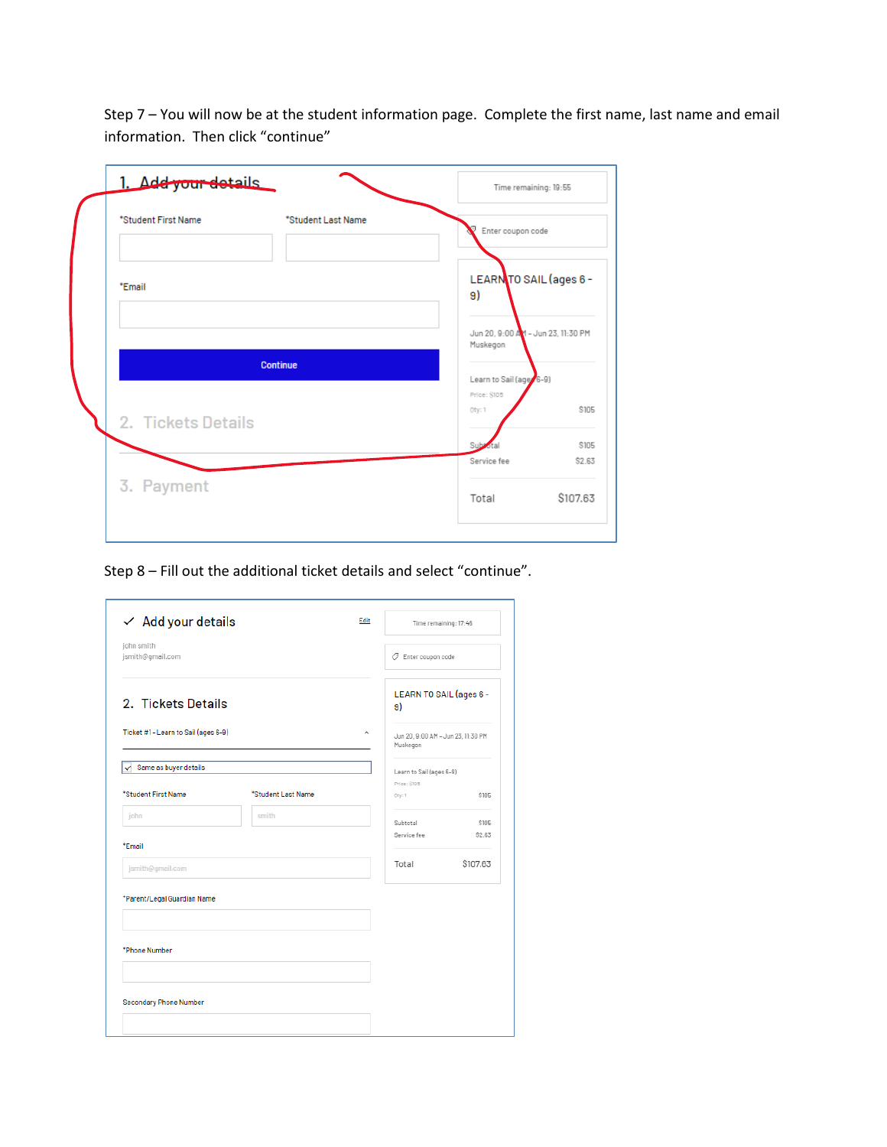Step 7 – You will now be at the student information page. Complete the first name, last name and email information. Then click "continue"

| *Student First Name | *Student Last Name | Enter coupon code                               |                         |
|---------------------|--------------------|-------------------------------------------------|-------------------------|
| *Email              |                    | LEARN TO SAIL (ages 6 -<br>9)                   |                         |
|                     |                    | Jun 20, 9:00 A 1 - Jun 23, 11:30 PM<br>Muskegon |                         |
|                     | <b>Continue</b>    |                                                 | Learn to Sail (age 6-9) |
|                     |                    | Price: \$105                                    |                         |
| 2. Tickets Details  |                    | Oty: 1                                          | \$105                   |
|                     |                    | Sub                                             | \$105                   |
|                     |                    | Service fee                                     | \$2.63                  |
| 3. Payment          |                    | Total                                           | S107.63                 |

Step 8 – Fill out the additional ticket details and select "continue".

| $\checkmark$ Add your details        |                    | Edit                                           | Time remaining: 17:46                   |         |
|--------------------------------------|--------------------|------------------------------------------------|-----------------------------------------|---------|
| john smith<br>jsmith@gmail.com       |                    |                                                | ○ Enter coupon code                     |         |
| 2. Tickets Details                   |                    |                                                | LEARN TO SAIL (ages 6 -<br>9)           |         |
| Ticket #1 - Learn to Sail (ages 6-9) | ᄉ                  | Jun 20. 9:00 AM - Jun 23. 11:30 PM<br>Muskegon |                                         |         |
| Same as buyer details                |                    |                                                | Learn to Sail (ages 6-9)<br>Price: S105 |         |
| *Student First Name                  | *Student Last Name |                                                | Oty: 1                                  | \$105   |
| john                                 | smith              |                                                | Subtotal                                | \$105   |
| *Fmail                               |                    |                                                | Service fee                             | \$2.63  |
| jsmith@gmail.com                     |                    |                                                | Total                                   | S107.63 |
| *Parent/Legal Guardian Name          |                    |                                                |                                         |         |
| *Phone Number                        |                    |                                                |                                         |         |
|                                      |                    |                                                |                                         |         |
| Secondary Phone Number               |                    |                                                |                                         |         |
|                                      |                    |                                                |                                         |         |